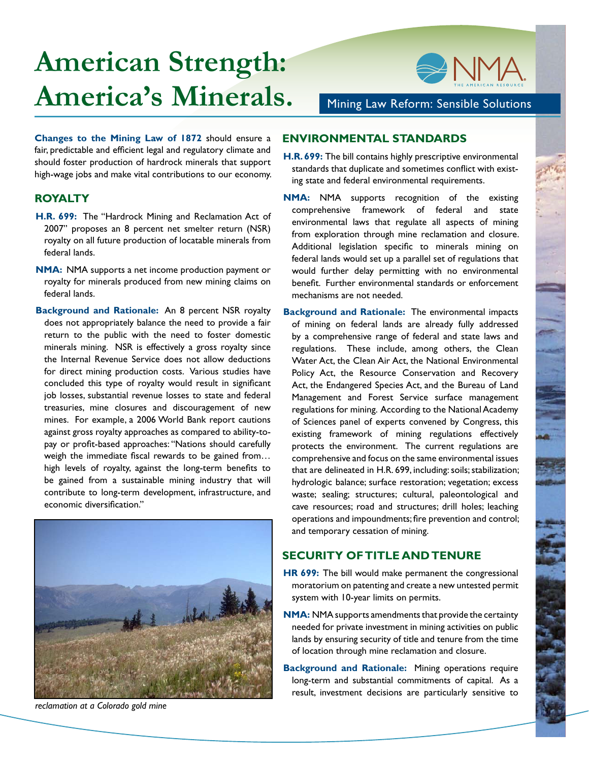# **American Strength: America's Minerals.**



Mining Law Reform: Sensible Solutions

**Changes to the Mining Law of 1872** should ensure a fair, predictable and efficient legal and regulatory climate and should foster production of hardrock minerals that support high-wage jobs and make vital contributions to our economy.

# **ROYALTY**

- **H.R. 699:** The "Hardrock Mining and Reclamation Act of 2007" proposes an 8 percent net smelter return (NSR) royalty on all future production of locatable minerals from federal lands.
- **NMA:** NMA supports a net income production payment or royalty for minerals produced from new mining claims on federal lands.
- **Background and Rationale:** An 8 percent NSR royalty does not appropriately balance the need to provide a fair return to the public with the need to foster domestic minerals mining. NSR is effectively a gross royalty since the Internal Revenue Service does not allow deductions for direct mining production costs. Various studies have concluded this type of royalty would result in significant job losses, substantial revenue losses to state and federal treasuries, mine closures and discouragement of new mines. For example, a 2006 World Bank report cautions against gross royalty approaches as compared to ability-topay or profit-based approaches: "Nations should carefully weigh the immediate fiscal rewards to be gained from… high levels of royalty, against the long-term benefits to be gained from a sustainable mining industry that will contribute to long-term development, infrastructure, and economic diversification."



*reclamation at a Colorado gold mine*

## **ENVIRONMENTAL STANDARDS**

- **H.R. 699:** The bill contains highly prescriptive environmental standards that duplicate and sometimes conflict with existing state and federal environmental requirements.
- **NMA:** NMA supports recognition of the existing comprehensive framework of federal and state environmental laws that regulate all aspects of mining from exploration through mine reclamation and closure. Additional legislation specific to minerals mining on federal lands would set up a parallel set of regulations that would further delay permitting with no environmental benefit. Further environmental standards or enforcement mechanisms are not needed.
- **Background and Rationale:** The environmental impacts of mining on federal lands are already fully addressed by a comprehensive range of federal and state laws and regulations. These include, among others, the Clean Water Act, the Clean Air Act, the National Environmental Policy Act, the Resource Conservation and Recovery Act, the Endangered Species Act, and the Bureau of Land Management and Forest Service surface management regulations for mining. According to the National Academy of Sciences panel of experts convened by Congress, this existing framework of mining regulations effectively protects the environment. The current regulations are comprehensive and focus on the same environmental issues that are delineated in H.R. 699, including: soils; stabilization; hydrologic balance; surface restoration; vegetation; excess waste; sealing; structures; cultural, paleontological and cave resources; road and structures; drill holes; leaching operations and impoundments; fire prevention and control; and temporary cessation of mining.

# **SECURITY OF TITLE AND TENURE**

- **HR 699:** The bill would make permanent the congressional moratorium on patenting and create a new untested permit system with 10-year limits on permits.
- **NMA:** NMA supports amendments that provide the certainty needed for private investment in mining activities on public lands by ensuring security of title and tenure from the time of location through mine reclamation and closure.
- **Background and Rationale:** Mining operations require long-term and substantial commitments of capital. As a result, investment decisions are particularly sensitive to